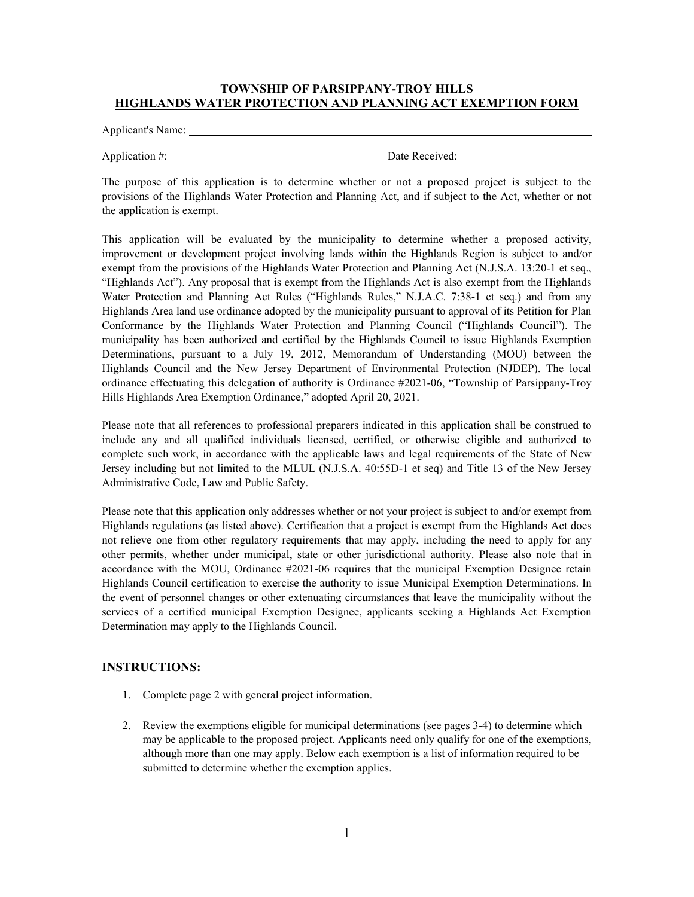## **TOWNSHIP OF PARSIPPANY-TROY HILLS HIGHLANDS WATER PROTECTION AND PLANNING ACT EXEMPTION FORM**

Applicant's Name: 1986.

Application #: Date Received:

The purpose of this application is to determine whether or not a proposed project is subject to the provisions of the Highlands Water Protection and Planning Act, and if subject to the Act, whether or not the application is exempt.

This application will be evaluated by the municipality to determine whether a proposed activity, improvement or development project involving lands within the Highlands Region is subject to and/or exempt from the provisions of the Highlands Water Protection and Planning Act (N.J.S.A. 13:20-1 et seq., "Highlands Act"). Any proposal that is exempt from the Highlands Act is also exempt from the Highlands Water Protection and Planning Act Rules ("Highlands Rules," N.J.A.C. 7:38-1 et seq.) and from any Highlands Area land use ordinance adopted by the municipality pursuant to approval of its Petition for Plan Conformance by the Highlands Water Protection and Planning Council ("Highlands Council"). The municipality has been authorized and certified by the Highlands Council to issue Highlands Exemption Determinations, pursuant to a July 19, 2012, Memorandum of Understanding (MOU) between the Highlands Council and the New Jersey Department of Environmental Protection (NJDEP). The local ordinance effectuating this delegation of authority is Ordinance #2021-06, "Township of Parsippany-Troy Hills Highlands Area Exemption Ordinance," adopted April 20, 2021.

Please note that all references to professional preparers indicated in this application shall be construed to include any and all qualified individuals licensed, certified, or otherwise eligible and authorized to complete such work, in accordance with the applicable laws and legal requirements of the State of New Jersey including but not limited to the MLUL (N.J.S.A. 40:55D-1 et seq) and Title 13 of the New Jersey Administrative Code, Law and Public Safety.

Please note that this application only addresses whether or not your project is subject to and/or exempt from Highlands regulations (as listed above). Certification that a project is exempt from the Highlands Act does not relieve one from other regulatory requirements that may apply, including the need to apply for any other permits, whether under municipal, state or other jurisdictional authority. Please also note that in accordance with the MOU, Ordinance #2021-06 requires that the municipal Exemption Designee retain Highlands Council certification to exercise the authority to issue Municipal Exemption Determinations. In the event of personnel changes or other extenuating circumstances that leave the municipality without the services of a certified municipal Exemption Designee, applicants seeking a Highlands Act Exemption Determination may apply to the Highlands Council.

## **INSTRUCTIONS:**

- 1. Complete page 2 with general project information.
- 2. Review the exemptions eligible for municipal determinations (see pages 3-4) to determine which may be applicable to the proposed project. Applicants need only qualify for one of the exemptions, although more than one may apply. Below each exemption is a list of information required to be submitted to determine whether the exemption applies.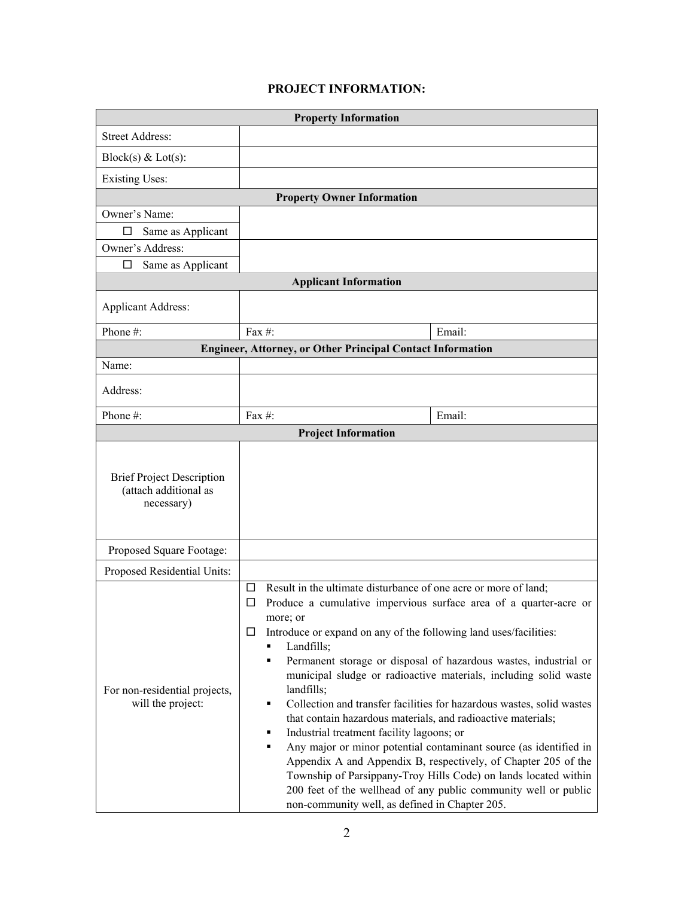## **PROJECT INFORMATION:**

| <b>Property Information</b>                                             |                                                                                                                                                                                                                                                                                                                                                                                                                                                                                                                                                                                                                                                                                                                                                                                                                                                                                                                                                   |        |  |
|-------------------------------------------------------------------------|---------------------------------------------------------------------------------------------------------------------------------------------------------------------------------------------------------------------------------------------------------------------------------------------------------------------------------------------------------------------------------------------------------------------------------------------------------------------------------------------------------------------------------------------------------------------------------------------------------------------------------------------------------------------------------------------------------------------------------------------------------------------------------------------------------------------------------------------------------------------------------------------------------------------------------------------------|--------|--|
| <b>Street Address:</b>                                                  |                                                                                                                                                                                                                                                                                                                                                                                                                                                                                                                                                                                                                                                                                                                                                                                                                                                                                                                                                   |        |  |
| Block(s) & Lot(s):                                                      |                                                                                                                                                                                                                                                                                                                                                                                                                                                                                                                                                                                                                                                                                                                                                                                                                                                                                                                                                   |        |  |
| <b>Existing Uses:</b>                                                   |                                                                                                                                                                                                                                                                                                                                                                                                                                                                                                                                                                                                                                                                                                                                                                                                                                                                                                                                                   |        |  |
| <b>Property Owner Information</b>                                       |                                                                                                                                                                                                                                                                                                                                                                                                                                                                                                                                                                                                                                                                                                                                                                                                                                                                                                                                                   |        |  |
| Owner's Name:                                                           |                                                                                                                                                                                                                                                                                                                                                                                                                                                                                                                                                                                                                                                                                                                                                                                                                                                                                                                                                   |        |  |
| Same as Applicant<br>Ħ                                                  |                                                                                                                                                                                                                                                                                                                                                                                                                                                                                                                                                                                                                                                                                                                                                                                                                                                                                                                                                   |        |  |
| Owner's Address:                                                        |                                                                                                                                                                                                                                                                                                                                                                                                                                                                                                                                                                                                                                                                                                                                                                                                                                                                                                                                                   |        |  |
| Same as Applicant<br>ப                                                  |                                                                                                                                                                                                                                                                                                                                                                                                                                                                                                                                                                                                                                                                                                                                                                                                                                                                                                                                                   |        |  |
| <b>Applicant Information</b>                                            |                                                                                                                                                                                                                                                                                                                                                                                                                                                                                                                                                                                                                                                                                                                                                                                                                                                                                                                                                   |        |  |
| <b>Applicant Address:</b>                                               |                                                                                                                                                                                                                                                                                                                                                                                                                                                                                                                                                                                                                                                                                                                                                                                                                                                                                                                                                   |        |  |
| Phone#:                                                                 | Fax #:                                                                                                                                                                                                                                                                                                                                                                                                                                                                                                                                                                                                                                                                                                                                                                                                                                                                                                                                            | Email: |  |
| <b>Engineer, Attorney, or Other Principal Contact Information</b>       |                                                                                                                                                                                                                                                                                                                                                                                                                                                                                                                                                                                                                                                                                                                                                                                                                                                                                                                                                   |        |  |
| Name:                                                                   |                                                                                                                                                                                                                                                                                                                                                                                                                                                                                                                                                                                                                                                                                                                                                                                                                                                                                                                                                   |        |  |
| Address:                                                                |                                                                                                                                                                                                                                                                                                                                                                                                                                                                                                                                                                                                                                                                                                                                                                                                                                                                                                                                                   |        |  |
| Phone#:                                                                 | Fax $#$ :                                                                                                                                                                                                                                                                                                                                                                                                                                                                                                                                                                                                                                                                                                                                                                                                                                                                                                                                         | Email: |  |
| <b>Project Information</b>                                              |                                                                                                                                                                                                                                                                                                                                                                                                                                                                                                                                                                                                                                                                                                                                                                                                                                                                                                                                                   |        |  |
| <b>Brief Project Description</b><br>(attach additional as<br>necessary) |                                                                                                                                                                                                                                                                                                                                                                                                                                                                                                                                                                                                                                                                                                                                                                                                                                                                                                                                                   |        |  |
| Proposed Square Footage:                                                |                                                                                                                                                                                                                                                                                                                                                                                                                                                                                                                                                                                                                                                                                                                                                                                                                                                                                                                                                   |        |  |
| Proposed Residential Units:                                             |                                                                                                                                                                                                                                                                                                                                                                                                                                                                                                                                                                                                                                                                                                                                                                                                                                                                                                                                                   |        |  |
| For non-residential projects,<br>will the project:                      | Result in the ultimate disturbance of one acre or more of land;<br>⊔<br>Produce a cumulative impervious surface area of a quarter-acre or<br>⊔<br>more; or<br>Introduce or expand on any of the following land uses/facilities:<br>⊔<br>Landfills;<br>Permanent storage or disposal of hazardous wastes, industrial or<br>٠<br>municipal sludge or radioactive materials, including solid waste<br>landfills;<br>Collection and transfer facilities for hazardous wastes, solid wastes<br>٠<br>that contain hazardous materials, and radioactive materials;<br>Industrial treatment facility lagoons; or<br>٠<br>Any major or minor potential contaminant source (as identified in<br>٠<br>Appendix A and Appendix B, respectively, of Chapter 205 of the<br>Township of Parsippany-Troy Hills Code) on lands located within<br>200 feet of the wellhead of any public community well or public<br>non-community well, as defined in Chapter 205. |        |  |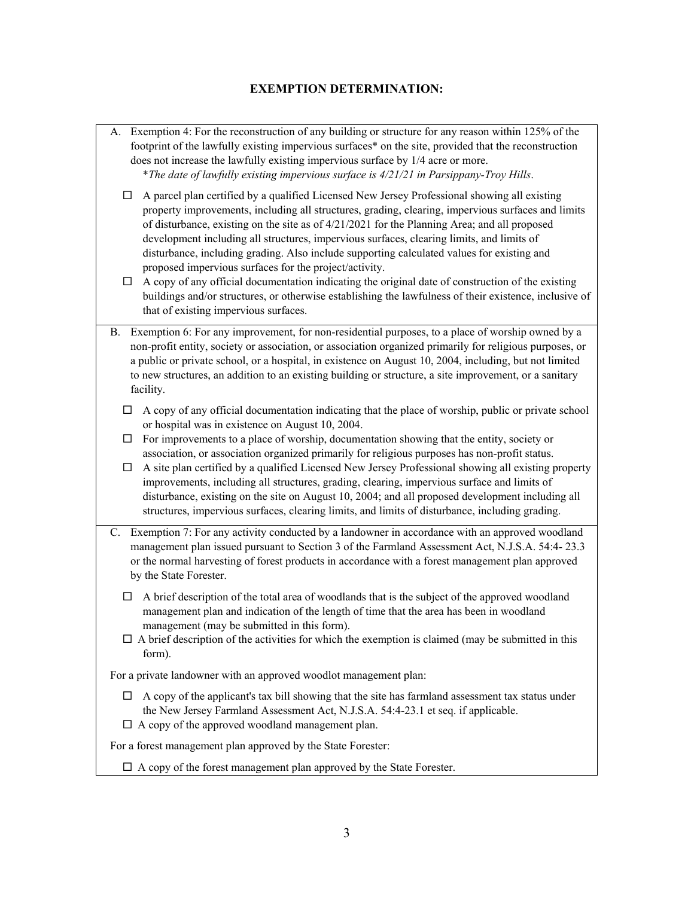## **EXEMPTION DETERMINATION:**

| □<br>property improvements, including all structures, grading, clearing, impervious surfaces and limits<br>of disturbance, existing on the site as of 4/21/2021 for the Planning Area; and all proposed<br>development including all structures, impervious surfaces, clearing limits, and limits of<br>disturbance, including grading. Also include supporting calculated values for existing and<br>proposed impervious surfaces for the project/activity.<br>A copy of any official documentation indicating the original date of construction of the existing<br>$\Box$<br>buildings and/or structures, or otherwise establishing the lawfulness of their existence, inclusive of<br>that of existing impervious surfaces.<br>B. Exemption 6: For any improvement, for non-residential purposes, to a place of worship owned by a<br>non-profit entity, society or association, or association organized primarily for religious purposes, or<br>a public or private school, or a hospital, in existence on August 10, 2004, including, but not limited<br>to new structures, an addition to an existing building or structure, a site improvement, or a sanitary<br>facility.<br>A copy of any official documentation indicating that the place of worship, public or private school<br>П<br>or hospital was in existence on August 10, 2004.<br>For improvements to a place of worship, documentation showing that the entity, society or<br>□<br>association, or association organized primarily for religious purposes has non-profit status.<br>A site plan certified by a qualified Licensed New Jersey Professional showing all existing property<br>П<br>improvements, including all structures, grading, clearing, impervious surface and limits of<br>disturbance, existing on the site on August 10, 2004; and all proposed development including all<br>structures, impervious surfaces, clearing limits, and limits of disturbance, including grading.<br>C. Exemption 7: For any activity conducted by a landowner in accordance with an approved woodland<br>management plan issued pursuant to Section 3 of the Farmland Assessment Act, N.J.S.A. 54:4-23.3<br>or the normal harvesting of forest products in accordance with a forest management plan approved<br>by the State Forester.<br>A brief description of the total area of woodlands that is the subject of the approved woodland<br>$\Box$<br>management plan and indication of the length of time that the area has been in woodland<br>management (may be submitted in this form).<br>$\Box$ A brief description of the activities for which the exemption is claimed (may be submitted in this<br>form).<br>For a private landowner with an approved woodlot management plan:<br>A copy of the applicant's tax bill showing that the site has farmland assessment tax status under<br>ப<br>the New Jersey Farmland Assessment Act, N.J.S.A. 54:4-23.1 et seq. if applicable.<br>$\Box$ A copy of the approved woodland management plan.<br>For a forest management plan approved by the State Forester:<br>$\Box$ A copy of the forest management plan approved by the State Forester. | A. Exemption 4: For the reconstruction of any building or structure for any reason within 125% of the<br>footprint of the lawfully existing impervious surfaces <sup>*</sup> on the site, provided that the reconstruction<br>does not increase the lawfully existing impervious surface by 1/4 acre or more.<br>* The date of lawfully existing impervious surface is 4/21/21 in Parsippany-Troy Hills. |
|---------------------------------------------------------------------------------------------------------------------------------------------------------------------------------------------------------------------------------------------------------------------------------------------------------------------------------------------------------------------------------------------------------------------------------------------------------------------------------------------------------------------------------------------------------------------------------------------------------------------------------------------------------------------------------------------------------------------------------------------------------------------------------------------------------------------------------------------------------------------------------------------------------------------------------------------------------------------------------------------------------------------------------------------------------------------------------------------------------------------------------------------------------------------------------------------------------------------------------------------------------------------------------------------------------------------------------------------------------------------------------------------------------------------------------------------------------------------------------------------------------------------------------------------------------------------------------------------------------------------------------------------------------------------------------------------------------------------------------------------------------------------------------------------------------------------------------------------------------------------------------------------------------------------------------------------------------------------------------------------------------------------------------------------------------------------------------------------------------------------------------------------------------------------------------------------------------------------------------------------------------------------------------------------------------------------------------------------------------------------------------------------------------------------------------------------------------------------------------------------------------------------------------------------------------------------------------------------------------------------------------------------------------------------------------------------------------------------------------------------------------------------------------------------------------------------------------------------------------------------------------------------------------------------------------------------------------------------------------------------------------------------------------------------------------------------------------------------------------------------------------------------------------------------------|----------------------------------------------------------------------------------------------------------------------------------------------------------------------------------------------------------------------------------------------------------------------------------------------------------------------------------------------------------------------------------------------------------|
|                                                                                                                                                                                                                                                                                                                                                                                                                                                                                                                                                                                                                                                                                                                                                                                                                                                                                                                                                                                                                                                                                                                                                                                                                                                                                                                                                                                                                                                                                                                                                                                                                                                                                                                                                                                                                                                                                                                                                                                                                                                                                                                                                                                                                                                                                                                                                                                                                                                                                                                                                                                                                                                                                                                                                                                                                                                                                                                                                                                                                                                                                                                                                                           | A parcel plan certified by a qualified Licensed New Jersey Professional showing all existing                                                                                                                                                                                                                                                                                                             |
|                                                                                                                                                                                                                                                                                                                                                                                                                                                                                                                                                                                                                                                                                                                                                                                                                                                                                                                                                                                                                                                                                                                                                                                                                                                                                                                                                                                                                                                                                                                                                                                                                                                                                                                                                                                                                                                                                                                                                                                                                                                                                                                                                                                                                                                                                                                                                                                                                                                                                                                                                                                                                                                                                                                                                                                                                                                                                                                                                                                                                                                                                                                                                                           |                                                                                                                                                                                                                                                                                                                                                                                                          |
|                                                                                                                                                                                                                                                                                                                                                                                                                                                                                                                                                                                                                                                                                                                                                                                                                                                                                                                                                                                                                                                                                                                                                                                                                                                                                                                                                                                                                                                                                                                                                                                                                                                                                                                                                                                                                                                                                                                                                                                                                                                                                                                                                                                                                                                                                                                                                                                                                                                                                                                                                                                                                                                                                                                                                                                                                                                                                                                                                                                                                                                                                                                                                                           |                                                                                                                                                                                                                                                                                                                                                                                                          |
|                                                                                                                                                                                                                                                                                                                                                                                                                                                                                                                                                                                                                                                                                                                                                                                                                                                                                                                                                                                                                                                                                                                                                                                                                                                                                                                                                                                                                                                                                                                                                                                                                                                                                                                                                                                                                                                                                                                                                                                                                                                                                                                                                                                                                                                                                                                                                                                                                                                                                                                                                                                                                                                                                                                                                                                                                                                                                                                                                                                                                                                                                                                                                                           |                                                                                                                                                                                                                                                                                                                                                                                                          |
|                                                                                                                                                                                                                                                                                                                                                                                                                                                                                                                                                                                                                                                                                                                                                                                                                                                                                                                                                                                                                                                                                                                                                                                                                                                                                                                                                                                                                                                                                                                                                                                                                                                                                                                                                                                                                                                                                                                                                                                                                                                                                                                                                                                                                                                                                                                                                                                                                                                                                                                                                                                                                                                                                                                                                                                                                                                                                                                                                                                                                                                                                                                                                                           |                                                                                                                                                                                                                                                                                                                                                                                                          |
|                                                                                                                                                                                                                                                                                                                                                                                                                                                                                                                                                                                                                                                                                                                                                                                                                                                                                                                                                                                                                                                                                                                                                                                                                                                                                                                                                                                                                                                                                                                                                                                                                                                                                                                                                                                                                                                                                                                                                                                                                                                                                                                                                                                                                                                                                                                                                                                                                                                                                                                                                                                                                                                                                                                                                                                                                                                                                                                                                                                                                                                                                                                                                                           |                                                                                                                                                                                                                                                                                                                                                                                                          |
|                                                                                                                                                                                                                                                                                                                                                                                                                                                                                                                                                                                                                                                                                                                                                                                                                                                                                                                                                                                                                                                                                                                                                                                                                                                                                                                                                                                                                                                                                                                                                                                                                                                                                                                                                                                                                                                                                                                                                                                                                                                                                                                                                                                                                                                                                                                                                                                                                                                                                                                                                                                                                                                                                                                                                                                                                                                                                                                                                                                                                                                                                                                                                                           |                                                                                                                                                                                                                                                                                                                                                                                                          |
|                                                                                                                                                                                                                                                                                                                                                                                                                                                                                                                                                                                                                                                                                                                                                                                                                                                                                                                                                                                                                                                                                                                                                                                                                                                                                                                                                                                                                                                                                                                                                                                                                                                                                                                                                                                                                                                                                                                                                                                                                                                                                                                                                                                                                                                                                                                                                                                                                                                                                                                                                                                                                                                                                                                                                                                                                                                                                                                                                                                                                                                                                                                                                                           |                                                                                                                                                                                                                                                                                                                                                                                                          |
|                                                                                                                                                                                                                                                                                                                                                                                                                                                                                                                                                                                                                                                                                                                                                                                                                                                                                                                                                                                                                                                                                                                                                                                                                                                                                                                                                                                                                                                                                                                                                                                                                                                                                                                                                                                                                                                                                                                                                                                                                                                                                                                                                                                                                                                                                                                                                                                                                                                                                                                                                                                                                                                                                                                                                                                                                                                                                                                                                                                                                                                                                                                                                                           |                                                                                                                                                                                                                                                                                                                                                                                                          |